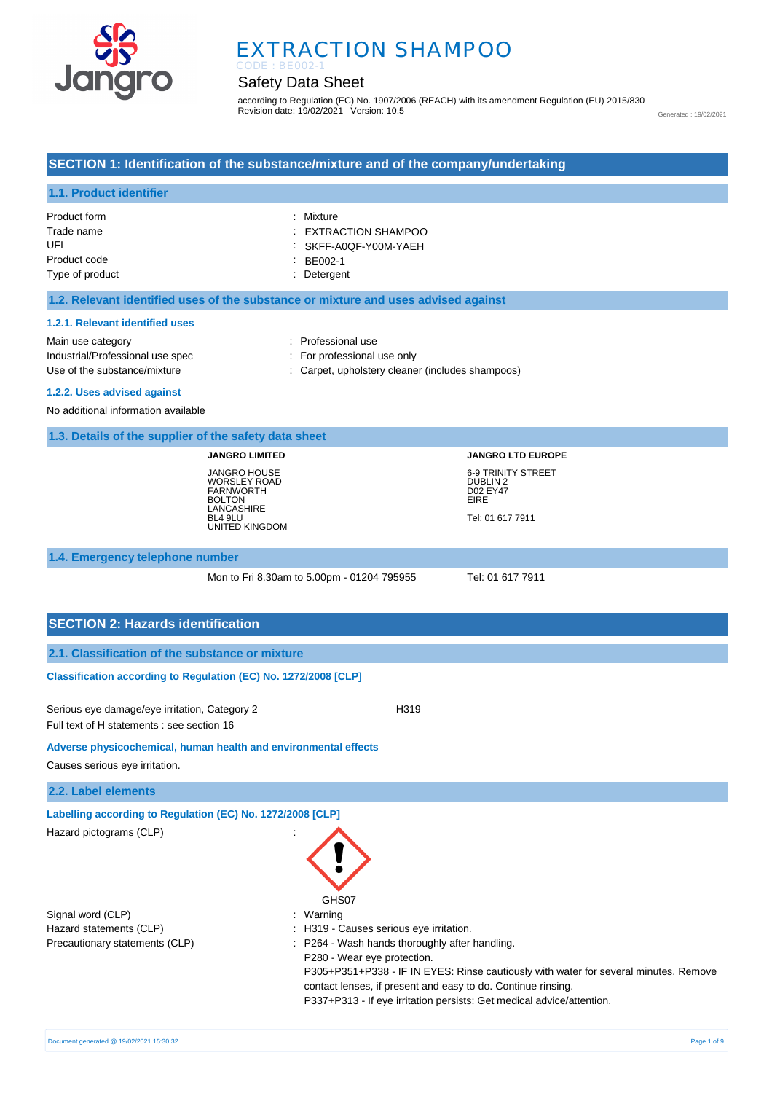

# EXTRACTION SHAMPOO CODE : BE002-1

# Safety Data Sheet

according to Regulation (EC) No. 1907/2006 (REACH) with its amendment Regulation (EU) 2015/830 Revision date: 19/02/2021 Version: 10.5

Generated : 19/02/2021

## **SECTION 1: Identification of the substance/mixture and of the company/undertaking**

## **1.1. Product identifier**

| Product form    | : Mixture                       |
|-----------------|---------------------------------|
| Trade name      | $\therefore$ EXTRACTION SHAMPOO |
| UFL             | : SKFF-A0QF-Y00M-YAEH           |
| Product code    | $\therefore$ BE002-1            |
| Type of product | : Detergent                     |

### **1.2. Relevant identified uses of the substance or mixture and uses advised against**

#### **1.2.1. Relevant identified uses**

Main use category **Example 20** and 20 and 20 and 20 and 20 and 20 and 20 and 20 and 20 and 20 and 20 and 20 and 20 and 20 and 20 and 20 and 20 and 20 and 20 and 20 and 20 and 20 and 20 and 20 and 20 and 20 and 20 and 20 an Industrial/Professional use spec : For professional use only

Use of the substance/mixture : Carpet, upholstery cleaner (includes shampoos)

**1.2.2. Uses advised against** 

No additional information available

### **1.3. Details of the supplier of the safety data sheet**

**JANGRO LIMITED** JANGRO HOUSE WORSLEY ROAD FARNWORTH BOLTON LANCASHIRE BL4 9LU UNITED KINGDOM

# **JANGRO LTD EUROPE** 6-9 TRINITY STREET DUBLIN 2 D02 EY47 EIRE Tel: 01 617 7911

#### **1.4. Emergency telephone number**

Mon to Fri 8.30am to 5.00pm - 01204 795955 Tel: 01 617 7911

### **SECTION 2: Hazards identification**

### **Classification according to Regulation (EC) No. 1272/2008 [CLP]**

Serious eye damage/eye irritation, Category 2 <br>
H319 Full text of H statements : see section 16

#### **Adverse physicochemical, human health and environmental effects**

Causes serious eye irritation.

### **2.2. Label elements**

**Labelling according to Regulation (EC) No. 1272/2008 [CLP]** 

| Hazard pictograms (CLP)        |                                                                                                                                                      |
|--------------------------------|------------------------------------------------------------------------------------------------------------------------------------------------------|
|                                | GHS07                                                                                                                                                |
| Signal word (CLP)              | : Warning                                                                                                                                            |
| Hazard statements (CLP)        | : H319 - Causes serious eye irritation.                                                                                                              |
| Precautionary statements (CLP) | : P264 - Wash hands thoroughly after handling.<br>P280 - Wear eye protection.                                                                        |
|                                | P305+P351+P338 - IF IN EYES: Rinse cautiously with water for several minutes. Remove<br>contact lenses, if present and easy to do. Continue rinsing. |
|                                | P337+P313 - If eye irritation persists: Get medical advice/attention.                                                                                |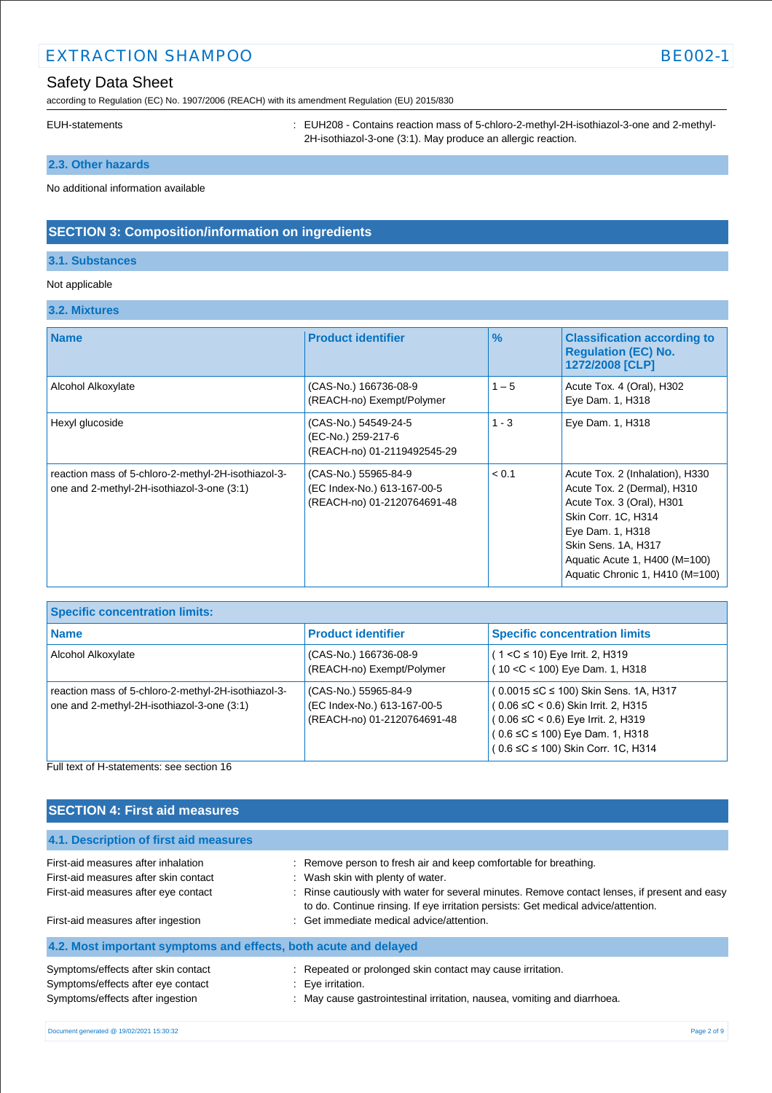# EXTRACTION SHAMPOO **BEOO2-1**

according to Regulation (EC) No. 1907/2006 (REACH) with its amendment Regulation (EU) 2015/830

EUH-statements **in the statements** : EUH208 - Contains reaction mass of 5-chloro-2-methyl-2H-isothiazol-3-one and 2-methyl-2H-isothiazol-3-one (3:1). May produce an allergic reaction.

# **2.3. Other hazards**

No additional information available

# **SECTION 3: Composition/information on ingredients**

## **3.1. Substances**

### Not applicable

### **3.2. Mixtures**

| <b>Name</b>                                                                                       | <b>Product identifier</b>                                                          | $\frac{9}{6}$ | <b>Classification according to</b><br><b>Requlation (EC) No.</b><br>1272/2008 [CLP]                                                                                                                                               |
|---------------------------------------------------------------------------------------------------|------------------------------------------------------------------------------------|---------------|-----------------------------------------------------------------------------------------------------------------------------------------------------------------------------------------------------------------------------------|
| Alcohol Alkoxylate                                                                                | (CAS-No.) 166736-08-9<br>(REACH-no) Exempt/Polymer                                 | $1 - 5$       | Acute Tox. 4 (Oral), H302<br>Eye Dam. 1, H318                                                                                                                                                                                     |
| Hexyl glucoside                                                                                   | (CAS-No.) 54549-24-5<br>(EC-No.) 259-217-6<br>(REACH-no) 01-2119492545-29          | $1 - 3$       | Eye Dam. 1, H318                                                                                                                                                                                                                  |
| reaction mass of 5-chloro-2-methyl-2H-isothiazol-3-<br>one and 2-methyl-2H-isothiazol-3-one (3:1) | (CAS-No.) 55965-84-9<br>(EC Index-No.) 613-167-00-5<br>(REACH-no) 01-2120764691-48 | < 0.1         | Acute Tox. 2 (Inhalation), H330<br>Acute Tox. 2 (Dermal), H310<br>Acute Tox. 3 (Oral), H301<br>Skin Corr. 1C, H314<br>Eye Dam. 1, H318<br>Skin Sens. 1A, H317<br>Aquatic Acute 1, H400 (M=100)<br>Aquatic Chronic 1, H410 (M=100) |

| <b>Specific concentration limits:</b>                                                                                                                  |                                                                                    |                                                                                                                                                                                                            |  |
|--------------------------------------------------------------------------------------------------------------------------------------------------------|------------------------------------------------------------------------------------|------------------------------------------------------------------------------------------------------------------------------------------------------------------------------------------------------------|--|
| <b>Name</b>                                                                                                                                            | <b>Product identifier</b>                                                          | <b>Specific concentration limits</b>                                                                                                                                                                       |  |
| Alcohol Alkoxylate                                                                                                                                     | (CAS-No.) 166736-08-9<br>(REACH-no) Exempt/Polymer                                 | $(1 < C \le 10)$ Eye Irrit. 2, H319<br>(10 < C < 100) Eye Dam. 1, H318                                                                                                                                     |  |
| reaction mass of 5-chloro-2-methyl-2H-isothiazol-3-<br>one and 2-methyl-2H-isothiazol-3-one (3:1)<br>Editional of the created and a content of the AA. | (CAS-No.) 55965-84-9<br>(EC Index-No.) 613-167-00-5<br>(REACH-no) 01-2120764691-48 | (0.0015 ≤C ≤ 100) Skin Sens. 1A, H317<br>(0.06 ≤C < 0.6) Skin Irrit. 2, H315<br>$(0.06 \leq C < 0.6)$ Eye Irrit. 2, H319<br>$(0.6 \leq C \leq 100)$ Eye Dam. 1, H318<br>(0.6 ≤C ≤ 100) Skin Corr. 1C, H314 |  |

Full text of H-statements: see section 16

# **SECTION 4: First aid measures**

| 4.1. Description of first aid measures                                                                        |                                                                                                                                                                                     |  |  |
|---------------------------------------------------------------------------------------------------------------|-------------------------------------------------------------------------------------------------------------------------------------------------------------------------------------|--|--|
| First-aid measures after inhalation<br>First-aid measures after skin contact                                  | : Remove person to fresh air and keep comfortable for breathing.<br>: Wash skin with plenty of water.                                                                               |  |  |
| First-aid measures after eye contact                                                                          | : Rinse cautiously with water for several minutes. Remove contact lenses, if present and easy<br>to do. Continue rinsing. If eye irritation persists: Get medical advice/attention. |  |  |
| First-aid measures after ingestion                                                                            | : Get immediate medical advice/attention.                                                                                                                                           |  |  |
| 4.2. Most important symptoms and effects, both acute and delayed                                              |                                                                                                                                                                                     |  |  |
| Symptoms/effects after skin contact<br>Symptoms/effects after eye contact<br>Symptoms/effects after ingestion | : Repeated or prolonged skin contact may cause irritation.<br>: Eye irritation.<br>: May cause gastrointestinal irritation, nausea, vomiting and diarrhoea.                         |  |  |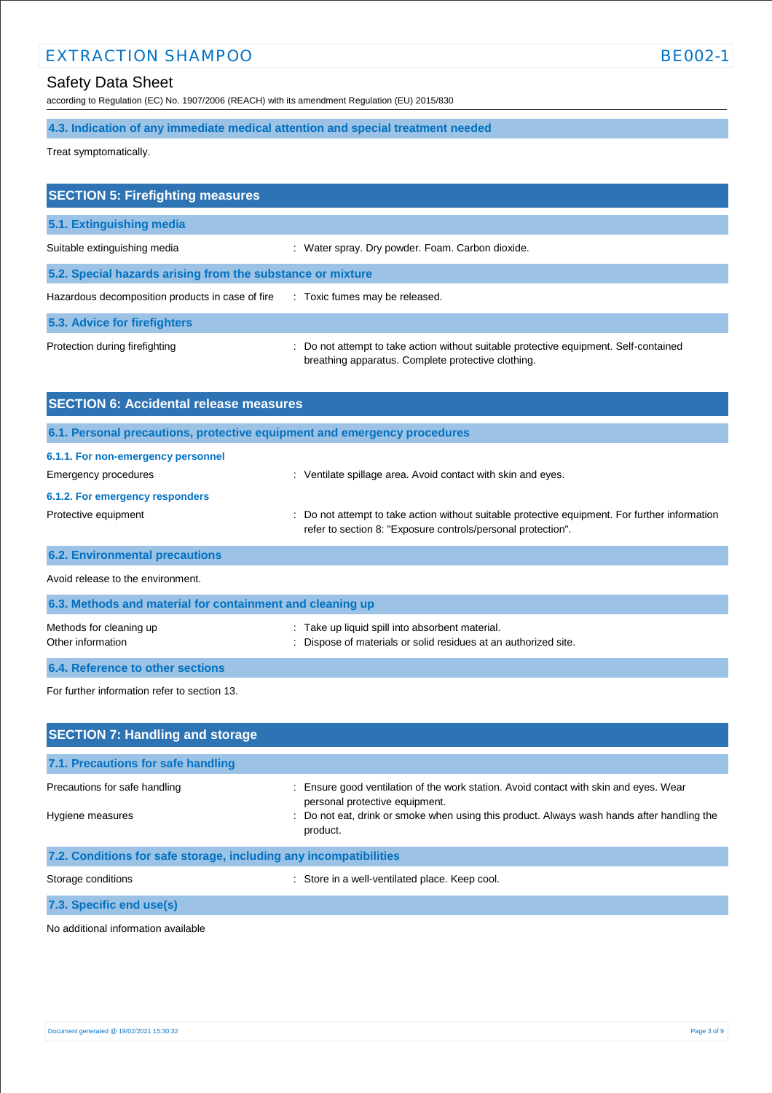# EXTRACTION SHAMPOO BEOO2-1

according to Regulation (EC) No. 1907/2006 (REACH) with its amendment Regulation (EU) 2015/830

# **4.3. Indication of any immediate medical attention and special treatment needed**

Treat symptomatically.

| <b>SECTION 5: Firefighting measures</b>                    |                                                                                                                                             |  |  |
|------------------------------------------------------------|---------------------------------------------------------------------------------------------------------------------------------------------|--|--|
| 5.1. Extinguishing media                                   |                                                                                                                                             |  |  |
| Suitable extinguishing media                               | : Water spray. Dry powder. Foam. Carbon dioxide.                                                                                            |  |  |
| 5.2. Special hazards arising from the substance or mixture |                                                                                                                                             |  |  |
| Hazardous decomposition products in case of fire           | : Toxic fumes may be released.                                                                                                              |  |  |
| 5.3. Advice for firefighters                               |                                                                                                                                             |  |  |
| Protection during firefighting                             | : Do not attempt to take action without suitable protective equipment. Self-contained<br>breathing apparatus. Complete protective clothing. |  |  |

| <b>SECTION 6: Accidental release measures</b>             |                                                                                                                                                                |  |
|-----------------------------------------------------------|----------------------------------------------------------------------------------------------------------------------------------------------------------------|--|
|                                                           | 6.1. Personal precautions, protective equipment and emergency procedures                                                                                       |  |
| 6.1.1. For non-emergency personnel                        |                                                                                                                                                                |  |
| Emergency procedures                                      | Ventilate spillage area. Avoid contact with skin and eyes.<br>÷.                                                                                               |  |
| 6.1.2. For emergency responders                           |                                                                                                                                                                |  |
| Protective equipment                                      | : Do not attempt to take action without suitable protective equipment. For further information<br>refer to section 8: "Exposure controls/personal protection". |  |
| <b>6.2. Environmental precautions</b>                     |                                                                                                                                                                |  |
| Avoid release to the environment.                         |                                                                                                                                                                |  |
| 6.3. Methods and material for containment and cleaning up |                                                                                                                                                                |  |

| Methods for cleaning up          | : Take up liquid spill into absorbent material.                 |
|----------------------------------|-----------------------------------------------------------------|
| Other information                | : Dispose of materials or solid residues at an authorized site. |
| 6.4. Reference to other sections |                                                                 |

For further information refer to section 13.

| <b>SECTION 7: Handling and storage</b>                                                  |                                                                                                                                                                                                                                   |
|-----------------------------------------------------------------------------------------|-----------------------------------------------------------------------------------------------------------------------------------------------------------------------------------------------------------------------------------|
| 7.1. Precautions for safe handling                                                      |                                                                                                                                                                                                                                   |
| Precautions for safe handling<br>Hygiene measures                                       | : Ensure good ventilation of the work station. Avoid contact with skin and eyes. Wear<br>personal protective equipment.<br>: Do not eat, drink or smoke when using this product. Always wash hands after handling the<br>product. |
| 7.2. Conditions for safe storage, including any incompatibilities<br>Storage conditions | : Store in a well-ventilated place. Keep cool.                                                                                                                                                                                    |

**7.3. Specific end use(s)**

No additional information available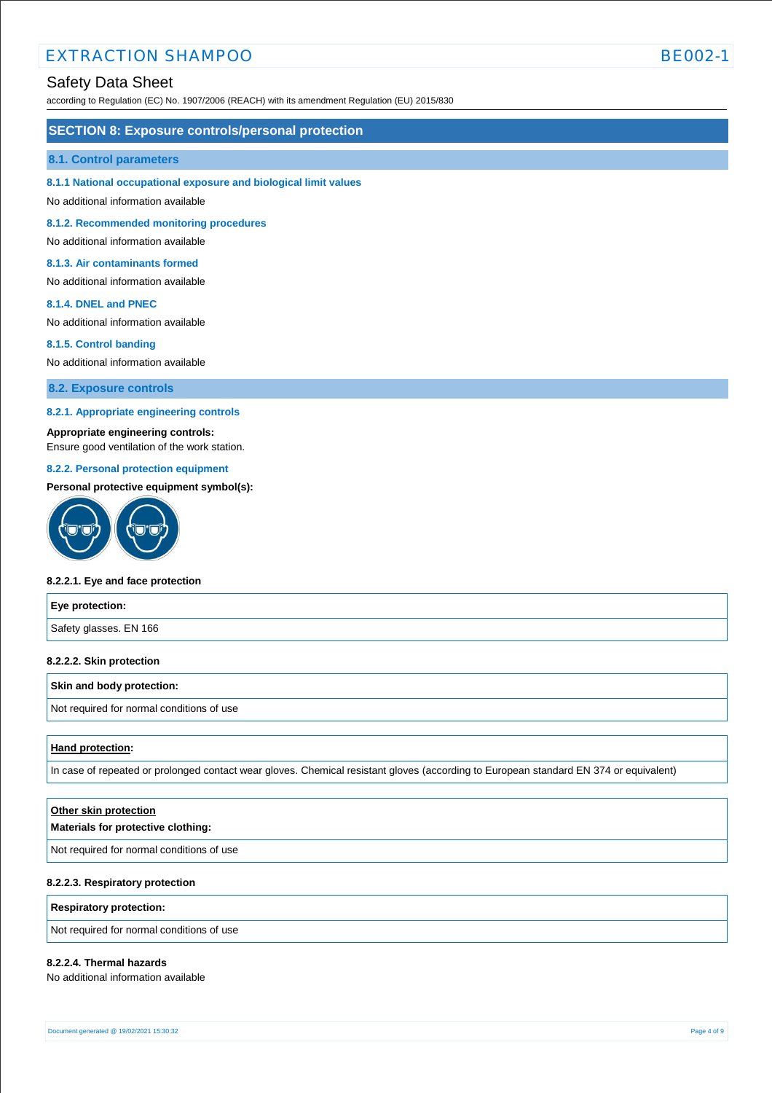# EXTRACTION SHAMPOO BEOOS

# Safety Data Sheet

according to Regulation (EC) No. 1907/2006 (REACH) with its amendment Regulation (EU) 2015/830

### **SECTION 8: Exposure controls/personal protection**

#### **8.1. Control parameters**

#### **8.1.1 National occupational exposure and biological limit values**

No additional information available

**8.1.2. Recommended monitoring procedures** 

### No additional information available

### **8.1.3. Air contaminants formed**

No additional information available

#### **8.1.4. DNEL and PNEC**

No additional information available

#### **8.1.5. Control banding**

No additional information available

**8.2. Exposure controls**

#### **8.2.1. Appropriate engineering controls**

### **Appropriate engineering controls:**

Ensure good ventilation of the work station.

#### **8.2.2. Personal protection equipment**

#### **Personal protective equipment symbol(s):**



#### **8.2.2.1. Eye and face protection**

| Eye protection:        |  |
|------------------------|--|
| Safety glasses. EN 166 |  |

#### **8.2.2.2. Skin protection**

#### **Skin and body protection:**

Not required for normal conditions of use

#### **Hand protection:**

In case of repeated or prolonged contact wear gloves. Chemical resistant gloves (according to European standard EN 374 or equivalent)

| Other skin protection                     |  |
|-------------------------------------------|--|
| Materials for protective clothing:        |  |
| Not required for normal conditions of use |  |
| 8.2.2.3. Respiratory protection           |  |

#### **Respiratory protection:**

Not required for normal conditions of use

### **8.2.2.4. Thermal hazards**

No additional information available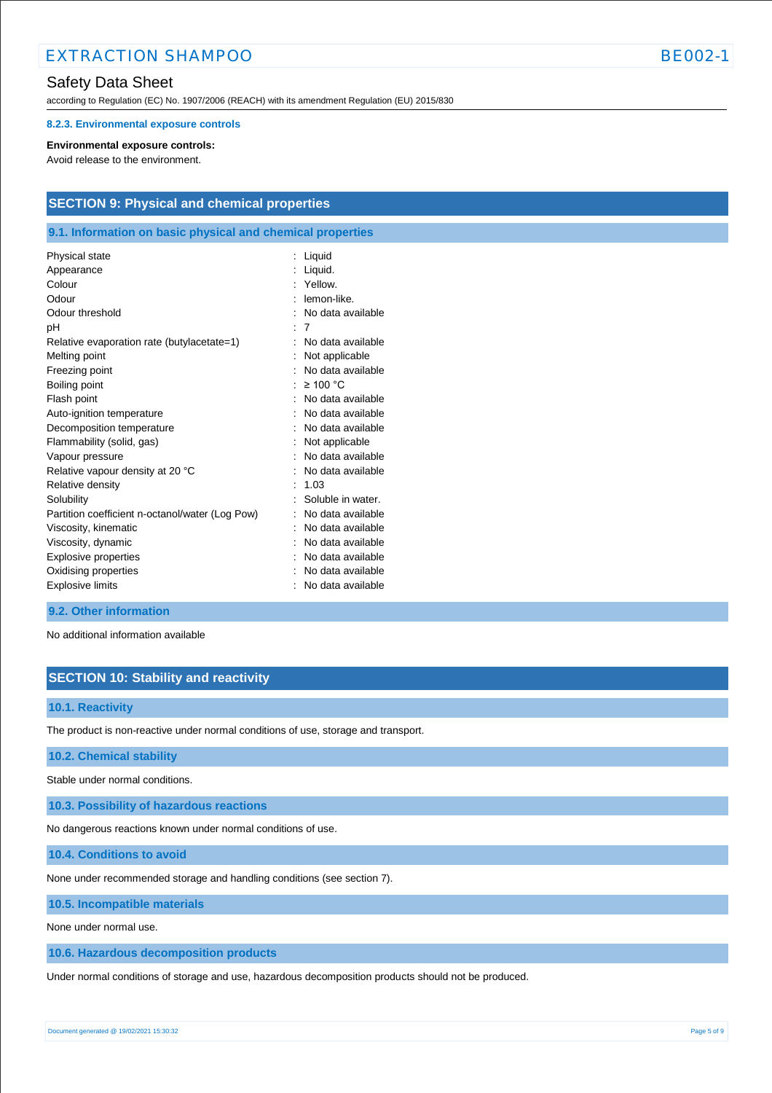# EXTRACTION SHAMPOO BEOO2-1 CONTRACTION SHAMPOO

# Safety Data Sheet

according to Regulation (EC) No. 1907/2006 (REACH) with its amendment Regulation (EU) 2015/830

#### **8.2.3. Environmental exposure controls**

#### **Environmental exposure controls:**

Avoid release to the environment.

# **SECTION 9: Physical and chemical properties**

### **9.1. Information on basic physical and chemical properties**

| Physical state<br>Appearance<br>Colour<br>Odour<br>Odour threshold<br>рH | Liquid<br>Liquid.<br>Yellow.<br>lemon-like.<br>No data available<br>7 |
|--------------------------------------------------------------------------|-----------------------------------------------------------------------|
| Relative evaporation rate (butylacetate=1)<br>Melting point              | No data available<br>Not applicable                                   |
| Freezing point                                                           | No data available                                                     |
| Boiling point                                                            | $\geq 100$ °C                                                         |
| Flash point                                                              | No data available                                                     |
| Auto-ignition temperature                                                | No data available                                                     |
| Decomposition temperature                                                | No data available                                                     |
| Flammability (solid, gas)                                                | Not applicable                                                        |
| Vapour pressure                                                          | No data available                                                     |
| Relative vapour density at 20 °C                                         | No data available                                                     |
| Relative density                                                         | 1.03                                                                  |
| Solubility                                                               | Soluble in water.                                                     |
| Partition coefficient n-octanol/water (Log Pow)                          | No data available                                                     |
| Viscosity, kinematic                                                     | No data available                                                     |
| Viscosity, dynamic                                                       | No data available                                                     |
| Explosive properties                                                     | No data available                                                     |
| Oxidising properties                                                     | No data available                                                     |
| <b>Explosive limits</b>                                                  | No data available                                                     |

## **9.2. Other information**

No additional information available

# **SECTION 10: Stability and reactivity**

### **10.1. Reactivity**

The product is non-reactive under normal conditions of use, storage and transport.

### **10.2. Chemical stability**

Stable under normal conditions.

**10.3. Possibility of hazardous reactions**

No dangerous reactions known under normal conditions of use.

**10.4. Conditions to avoid**

None under recommended storage and handling conditions (see section 7).

**10.5. Incompatible materials**

None under normal use.

**10.6. Hazardous decomposition products**

Under normal conditions of storage and use, hazardous decomposition products should not be produced.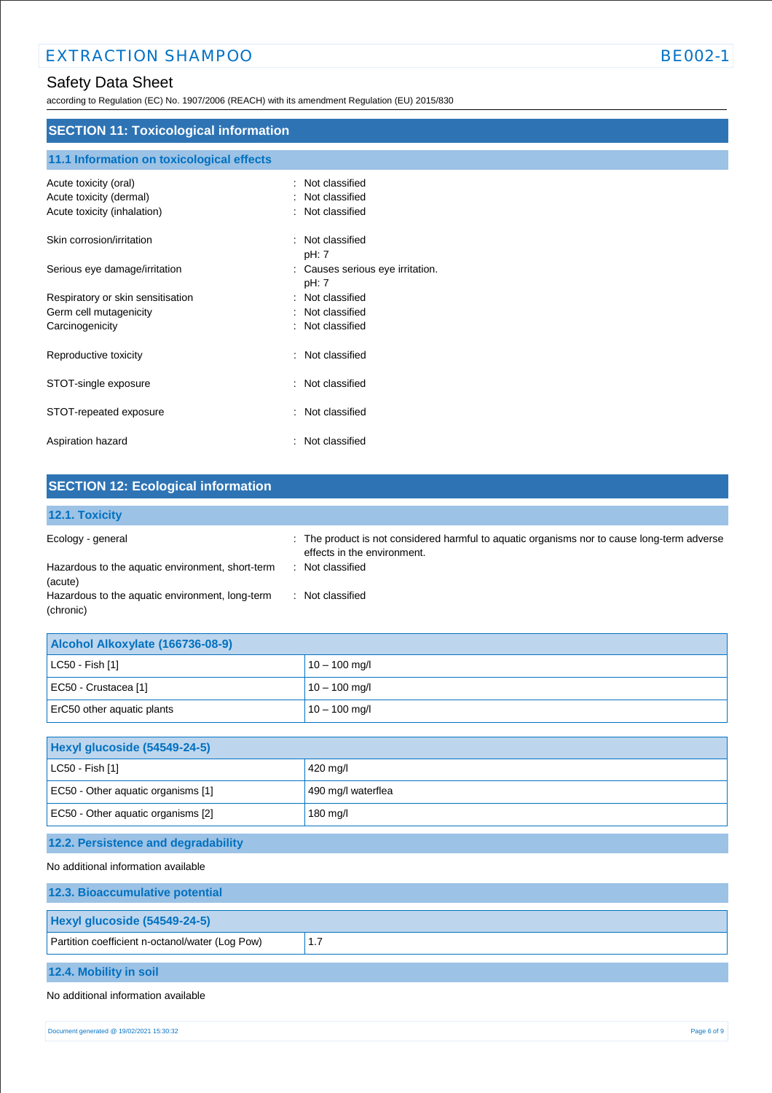# Safety Data Sheet

according to Regulation (EC) No. 1907/2006 (REACH) with its amendment Regulation (EU) 2015/830

# **SECTION 11: Toxicological information**

| 11.1 Information on toxicological effects |  |  |
|-------------------------------------------|--|--|

| Acute toxicity (oral)             | : Not classified                          |
|-----------------------------------|-------------------------------------------|
| Acute toxicity (dermal)           | : Not classified                          |
| Acute toxicity (inhalation)       | : Not classified                          |
| Skin corrosion/irritation         | : Not classified<br>pH: 7                 |
| Serious eye damage/irritation     | : Causes serious eye irritation.<br>pH: 7 |
| Respiratory or skin sensitisation | : Not classified                          |
| Germ cell mutagenicity            | : Not classified                          |
| Carcinogenicity                   | : Not classified                          |
| Reproductive toxicity             | : Not classified                          |
| STOT-single exposure              | : Not classified                          |
| STOT-repeated exposure            | : Not classified                          |
| Aspiration hazard                 | : Not classified                          |

| <b>SECTION 12: Ecological information</b>                    |                                                                                                                            |  |
|--------------------------------------------------------------|----------------------------------------------------------------------------------------------------------------------------|--|
| 12.1. Toxicity                                               |                                                                                                                            |  |
| Ecology - general                                            | : The product is not considered harmful to aguatic organisms nor to cause long-term adverse<br>effects in the environment. |  |
| Hazardous to the aquatic environment, short-term<br>(acute)  | : Not classified                                                                                                           |  |
| Hazardous to the aquatic environment, long-term<br>(chronic) | : Not classified                                                                                                           |  |

| Alcohol Alkoxylate (166736-08-9) |                 |  |
|----------------------------------|-----------------|--|
| $ $ LC50 - Fish [1]              | $10 - 100$ mg/l |  |
| EC50 - Crustacea [1]             | $10 - 100$ mg/l |  |
| ErC50 other aquatic plants       | $10 - 100$ mg/l |  |

| Hexyl glucoside (54549-24-5)       |                    |  |
|------------------------------------|--------------------|--|
| $ $ LC50 - Fish [1]                | 420 mg/l           |  |
| EC50 - Other aquatic organisms [1] | 490 mg/l waterflea |  |
| EC50 - Other aquatic organisms [2] | 180 mg/l           |  |

# **12.2. Persistence and degradability**

No additional information available

| 12.3. Bioaccumulative potential                 |     |
|-------------------------------------------------|-----|
| Hexyl glucoside (54549-24-5)                    |     |
| Partition coefficient n-octanol/water (Log Pow) | 1.7 |
|                                                 |     |
| 12.4. Mobility in soil                          |     |

### No additional information available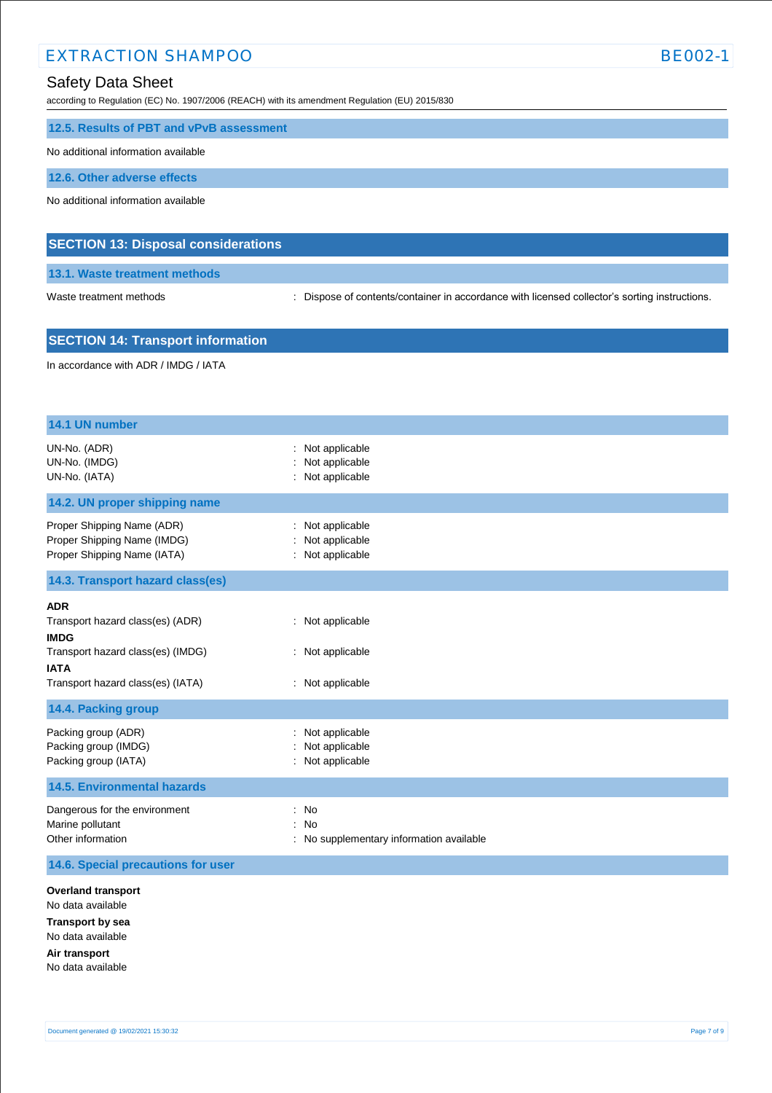# EXTRACTION SHAMPOO **BEOO2-1**

# Safety Data Sheet

according to Regulation (EC) No. 1907/2006 (REACH) with its amendment Regulation (EU) 2015/830

**12.5. Results of PBT and vPvB assessment**

No additional information available

**12.6. Other adverse effects**

No additional information available

## **SECTION 13: Disposal considerations**

**13.1. Waste treatment methods**

Waste treatment methods : Dispose of contents/container in accordance with licensed collector's sorting instructions.

# **SECTION 14: Transport information**

In accordance with ADR / IMDG / IATA

| 14.1 UN number                                                                                                                                         |                                                          |
|--------------------------------------------------------------------------------------------------------------------------------------------------------|----------------------------------------------------------|
| UN-No. (ADR)<br>UN-No. (IMDG)<br>UN-No. (IATA)                                                                                                         | Not applicable<br>Not applicable<br>Not applicable       |
| 14.2. UN proper shipping name                                                                                                                          |                                                          |
| Proper Shipping Name (ADR)<br>Proper Shipping Name (IMDG)<br>Proper Shipping Name (IATA)                                                               | Not applicable<br>Not applicable<br>Not applicable       |
| 14.3. Transport hazard class(es)                                                                                                                       |                                                          |
| <b>ADR</b><br>Transport hazard class(es) (ADR)<br><b>IMDG</b><br>Transport hazard class(es) (IMDG)<br><b>IATA</b><br>Transport hazard class(es) (IATA) | : Not applicable<br>: Not applicable<br>: Not applicable |
| 14.4. Packing group                                                                                                                                    |                                                          |
| Packing group (ADR)<br>Packing group (IMDG)<br>Packing group (IATA)                                                                                    | Not applicable<br>Not applicable<br>Not applicable       |
| <b>14.5. Environmental hazards</b>                                                                                                                     |                                                          |
| Dangerous for the environment<br>Marine pollutant<br>Other information                                                                                 | : No<br>No<br>No supplementary information available     |
| 14.6. Special precautions for user                                                                                                                     |                                                          |
| <b>Overland transport</b><br>No data available<br><b>Transport by sea</b><br>No data available<br>Air transport<br>No data available                   |                                                          |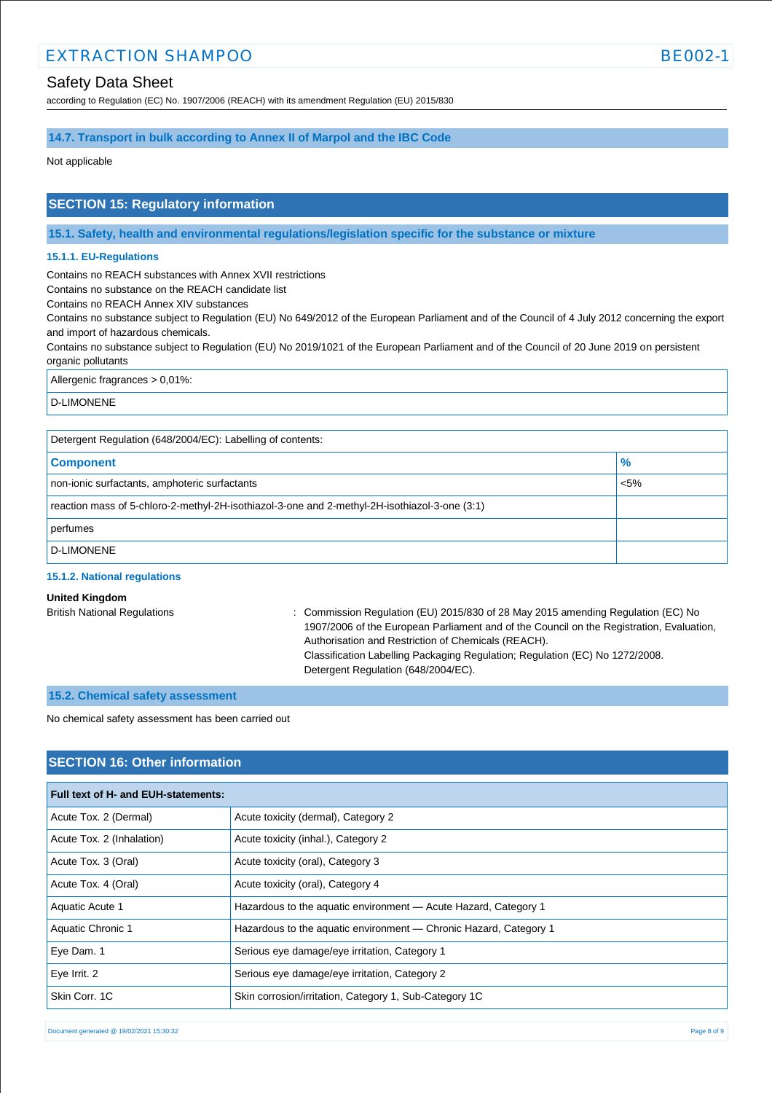# Safety Data Sheet

according to Regulation (EC) No. 1907/2006 (REACH) with its amendment Regulation (EU) 2015/830

## **14.7. Transport in bulk according to Annex II of Marpol and the IBC Code**

Not applicable

## **SECTION 15: Regulatory information**

**15.1. Safety, health and environmental regulations/legislation specific for the substance or mixture**

#### **15.1.1. EU-Regulations**

Contains no REACH substances with Annex XVII restrictions

Contains no substance on the REACH candidate list

Contains no REACH Annex XIV substances

Contains no substance subject to Regulation (EU) No 649/2012 of the European Parliament and of the Council of 4 July 2012 concerning the export and import of hazardous chemicals.

Contains no substance subject to Regulation (EU) No 2019/1021 of the European Parliament and of the Council of 20 June 2019 on persistent organic pollutants

Allergenic fragrances > 0,01%:

D-LIMONENE

| Detergent Regulation (648/2004/EC): Labelling of contents:                                    |               |  |
|-----------------------------------------------------------------------------------------------|---------------|--|
| <b>Component</b>                                                                              | $\frac{9}{6}$ |  |
| non-ionic surfactants, amphoteric surfactants                                                 | $< 5\%$       |  |
| reaction mass of 5-chloro-2-methyl-2H-isothiazol-3-one and 2-methyl-2H-isothiazol-3-one (3:1) |               |  |
| perfumes                                                                                      |               |  |
| D-LIMONENE                                                                                    |               |  |

### **15.1.2. National regulations**

#### **United Kingdom**

British National Regulations : Commission Regulation (EU) 2015/830 of 28 May 2015 amending Regulation (EC) No 1907/2006 of the European Parliament and of the Council on the Registration, Evaluation, Authorisation and Restriction of Chemicals (REACH). Classification Labelling Packaging Regulation; Regulation (EC) No 1272/2008. Detergent Regulation (648/2004/EC).

## **15.2. Chemical safety assessment**

No chemical safety assessment has been carried out

# **SECTION 16: Other information**

| Full text of H- and EUH-statements: |                                                                   |
|-------------------------------------|-------------------------------------------------------------------|
| Acute Tox. 2 (Dermal)               | Acute toxicity (dermal), Category 2                               |
| Acute Tox. 2 (Inhalation)           | Acute toxicity (inhal.), Category 2                               |
| Acute Tox. 3 (Oral)                 | Acute toxicity (oral), Category 3                                 |
| Acute Tox. 4 (Oral)                 | Acute toxicity (oral), Category 4                                 |
| Aquatic Acute 1                     | Hazardous to the aquatic environment - Acute Hazard, Category 1   |
| <b>Aquatic Chronic 1</b>            | Hazardous to the aquatic environment - Chronic Hazard, Category 1 |
| Eye Dam. 1                          | Serious eye damage/eye irritation, Category 1                     |
| Eye Irrit. 2                        | Serious eye damage/eye irritation, Category 2                     |
| Skin Corr. 1C                       | Skin corrosion/irritation, Category 1, Sub-Category 1C            |